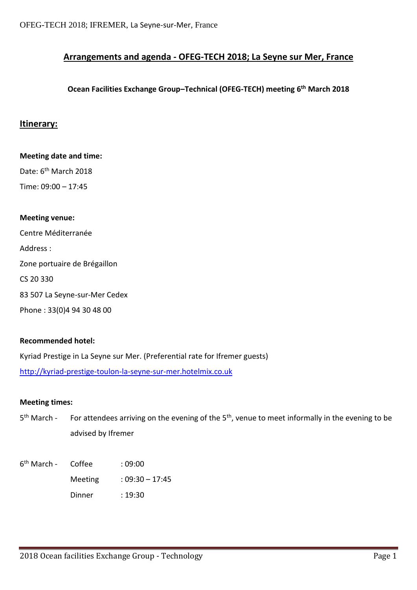# **Arrangements and agenda - OFEG-TECH 2018; La Seyne sur Mer, France**

## **Ocean Facilities Exchange Group–Technical (OFEG-TECH) meeting 6 th March 2018**

### **Itinerary:**

**Meeting date and time:** Date: 6<sup>th</sup> March 2018 Time: 09:00 – 17:45 **Meeting venue:** Centre Méditerranée Address : Zone portuaire de Brégaillon

CS 20 330

83 507 La Seyne-sur-Mer Cedex

Phone : 33(0)4 94 30 48 00

### **Recommended hotel:**

Kyriad Prestige in La Seyne sur Mer. (Preferential rate for Ifremer guests)

[http://kyriad-prestige-toulon-la-seyne-sur-mer.hotelmix.co.uk](http://kyriad-prestige-toulon-la-seyne-sur-mer.hotelmix.co.uk/)

### **Meeting times:**

- $5<sup>th</sup> March -$ For attendees arriving on the evening of the  $5<sup>th</sup>$ , venue to meet informally in the evening to be advised by Ifremer
- 6<sup>th</sup> March Coffee : 09:00 Meeting : 09:30 – 17:45 Dinner : 19:30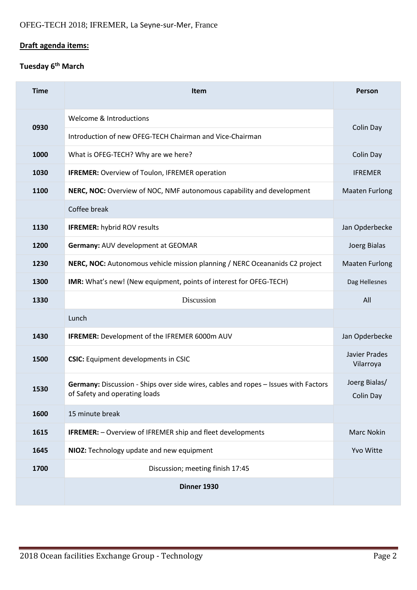# **Draft agenda items:**

# **Tuesday 6th March**

| <b>Time</b> | <b>Item</b>                                                                                                          | <b>Person</b>              |
|-------------|----------------------------------------------------------------------------------------------------------------------|----------------------------|
| 0930        | Welcome & Introductions                                                                                              |                            |
|             | Introduction of new OFEG-TECH Chairman and Vice-Chairman                                                             | Colin Day                  |
| 1000        | What is OFEG-TECH? Why are we here?                                                                                  | Colin Day                  |
| 1030        | <b>IFREMER:</b> Overview of Toulon, IFREMER operation                                                                | <b>IFREMER</b>             |
| 1100        | NERC, NOC: Overview of NOC, NMF autonomous capability and development                                                | <b>Maaten Furlong</b>      |
|             | Coffee break                                                                                                         |                            |
| 1130        | <b>IFREMER: hybrid ROV results</b>                                                                                   | Jan Opderbecke             |
| 1200        | Germany: AUV development at GEOMAR                                                                                   | Joerg Bialas               |
| 1230        | NERC, NOC: Autonomous vehicle mission planning / NERC Oceananids C2 project                                          | <b>Maaten Furlong</b>      |
| 1300        | IMR: What's new! (New equipment, points of interest for OFEG-TECH)                                                   | Dag Hellesnes              |
| 1330        | Discussion                                                                                                           | All                        |
|             | Lunch                                                                                                                |                            |
| 1430        | <b>IFREMER:</b> Development of the IFREMER 6000m AUV                                                                 | Jan Opderbecke             |
| 1500        | <b>CSIC:</b> Equipment developments in CSIC                                                                          | Javier Prades<br>Vilarroya |
| 1530        | Germany: Discussion - Ships over side wires, cables and ropes - Issues with Factors<br>of Safety and operating loads | Joerg Bialas/<br>Colin Day |
| 1600        | 15 minute break                                                                                                      |                            |
| 1615        | <b>IFREMER:</b> - Overview of IFREMER ship and fleet developments                                                    | <b>Marc Nokin</b>          |
| 1645        | NIOZ: Technology update and new equipment                                                                            | Yvo Witte                  |
| 1700        | Discussion; meeting finish 17:45                                                                                     |                            |
|             | Dinner 1930                                                                                                          |                            |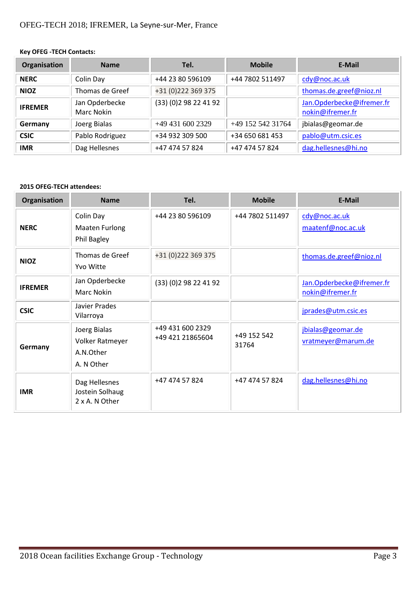### **Key OFEG -TECH Contacts:**

| Organisation   | <b>Name</b>                         | Tel.                | <b>Mobile</b>     | E-Mail                                        |
|----------------|-------------------------------------|---------------------|-------------------|-----------------------------------------------|
| <b>NERC</b>    | Colin Day                           | +44 23 80 596109    | +44 7802 511497   | cdy@noc.ac.uk                                 |
| <b>NIOZ</b>    | Thomas de Greef                     | +31 (0) 222 369 375 |                   | thomas.de.greef@nioz.nl                       |
| <b>IFREMER</b> | Jan Opderbecke<br><b>Marc Nokin</b> | (33)(0)298224192    |                   | Jan.Opderbecke@ifremer.fr<br>nokin@ifremer.fr |
| Germany        | Joerg Bialas                        | +49 431 600 2329    | +49 152 542 31764 | jbialas@geomar.de                             |
| <b>CSIC</b>    | Pablo Rodriguez                     | +34 932 309 500     | +34 650 681 453   | pablo@utm.csic.es                             |
| <b>IMR</b>     | Dag Hellesnes                       | +47 474 57 824      | +47 474 57 824    | dag.hellesnes@hi.no                           |

#### **2015 OFEG-TECH attendees:**

| Organisation   | <b>Name</b>                                                | Tel.                                 | <b>Mobile</b>        | <b>E-Mail</b>                                 |
|----------------|------------------------------------------------------------|--------------------------------------|----------------------|-----------------------------------------------|
| <b>NERC</b>    | Colin Day<br><b>Maaten Furlong</b><br>Phil Bagley          | +44 23 80 596109                     | +44 7802 511497      | cdy@noc.ac.uk<br>maatenf@noc.ac.uk            |
| <b>NIOZ</b>    | Thomas de Greef<br>Yvo Witte                               | +31 (0) 222 369 375                  |                      | thomas.de.greef@nioz.nl                       |
| <b>IFREMER</b> | Jan Opderbecke<br><b>Marc Nokin</b>                        | (33) (0) 2 98 22 41 92               |                      | Jan.Opderbecke@ifremer.fr<br>nokin@ifremer.fr |
| <b>CSIC</b>    | Javier Prades<br>Vilarroya                                 |                                      |                      | jprades@utm.csic.es                           |
| Germany        | Joerg Bialas<br>Volker Ratmeyer<br>A.N.Other<br>A. N Other | +49 431 600 2329<br>+49 421 21865604 | +49 152 542<br>31764 | jbialas@geomar.de<br>vratmeyer@marum.de       |
| <b>IMR</b>     | Dag Hellesnes<br>Jostein Solhaug<br>2 x A. N Other         | +47 474 57 824                       | +47 474 57 824       | dag.hellesnes@hi.no                           |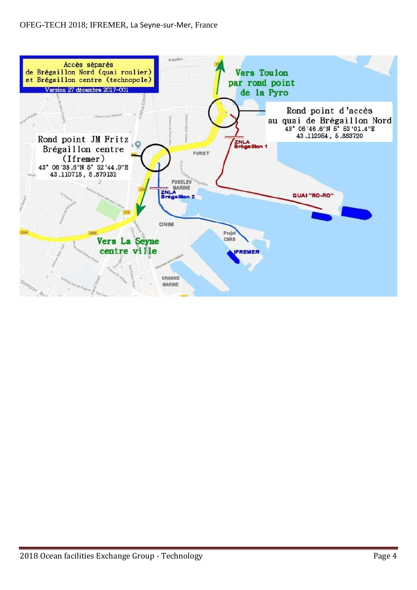